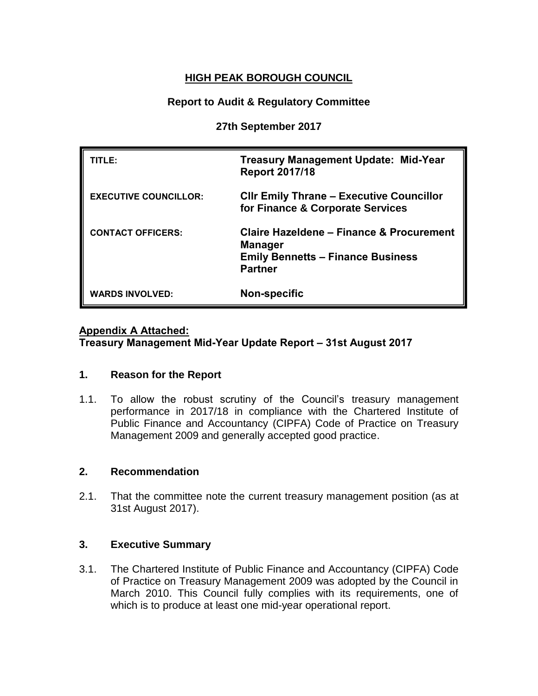### **HIGH PEAK BOROUGH COUNCIL**

### **Report to Audit & Regulatory Committee**

### **27th September 2017**

| TITLE:                       | <b>Treasury Management Update: Mid-Year</b><br><b>Report 2017/18</b>                                                     |
|------------------------------|--------------------------------------------------------------------------------------------------------------------------|
| <b>EXECUTIVE COUNCILLOR:</b> | <b>CIIr Emily Thrane - Executive Councillor</b><br>for Finance & Corporate Services                                      |
| <b>CONTACT OFFICERS:</b>     | Claire Hazeldene - Finance & Procurement<br><b>Manager</b><br><b>Emily Bennetts - Finance Business</b><br><b>Partner</b> |
| <b>WARDS INVOLVED:</b>       | Non-specific                                                                                                             |

### **Appendix A Attached:**

**Treasury Management Mid-Year Update Report – 31st August 2017**

### **1. Reason for the Report**

1.1. To allow the robust scrutiny of the Council's treasury management performance in 2017/18 in compliance with the Chartered Institute of Public Finance and Accountancy (CIPFA) Code of Practice on Treasury Management 2009 and generally accepted good practice.

### **2. Recommendation**

2.1. That the committee note the current treasury management position (as at 31st August 2017).

### **3. Executive Summary**

3.1. The Chartered Institute of Public Finance and Accountancy (CIPFA) Code of Practice on Treasury Management 2009 was adopted by the Council in March 2010. This Council fully complies with its requirements, one of which is to produce at least one mid-year operational report.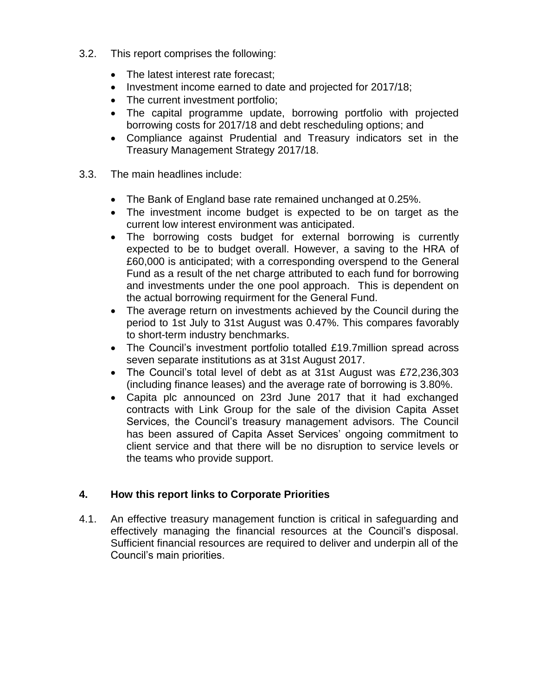- 3.2. This report comprises the following:
	- The latest interest rate forecast:
	- Investment income earned to date and projected for 2017/18;
	- The current investment portfolio;
	- The capital programme update, borrowing portfolio with projected borrowing costs for 2017/18 and debt rescheduling options; and
	- Compliance against Prudential and Treasury indicators set in the Treasury Management Strategy 2017/18.
- 3.3. The main headlines include:
	- The Bank of England base rate remained unchanged at 0.25%.
	- The investment income budget is expected to be on target as the current low interest environment was anticipated.
	- The borrowing costs budget for external borrowing is currently expected to be to budget overall. However, a saving to the HRA of £60,000 is anticipated; with a corresponding overspend to the General Fund as a result of the net charge attributed to each fund for borrowing and investments under the one pool approach. This is dependent on the actual borrowing requirment for the General Fund.
	- The average return on investments achieved by the Council during the period to 1st July to 31st August was 0.47%. This compares favorably to short-term industry benchmarks.
	- The Council's investment portfolio totalled £19.7million spread across seven separate institutions as at 31st August 2017.
	- The Council's total level of debt as at 31st August was £72,236,303 (including finance leases) and the average rate of borrowing is 3.80%.
	- Capita plc announced on 23rd June 2017 that it had exchanged contracts with Link Group for the sale of the division Capita Asset Services, the Council's treasury management advisors. The Council has been assured of Capita Asset Services' ongoing commitment to client service and that there will be no disruption to service levels or the teams who provide support.

### **4. How this report links to Corporate Priorities**

4.1. An effective treasury management function is critical in safeguarding and effectively managing the financial resources at the Council's disposal. Sufficient financial resources are required to deliver and underpin all of the Council's main priorities.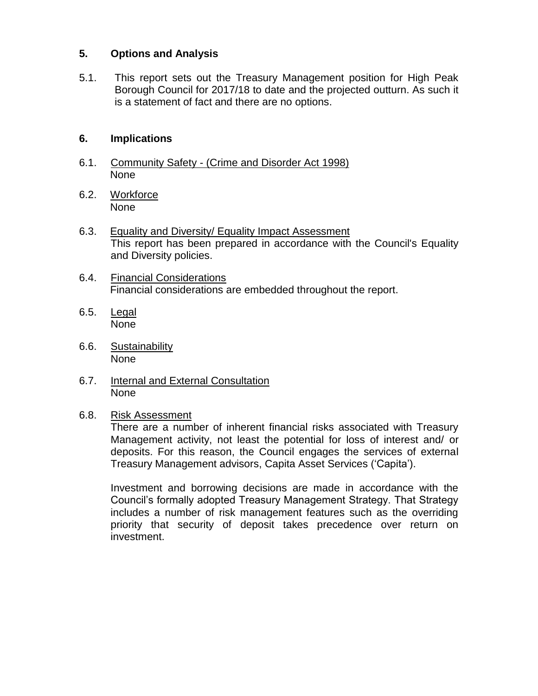### **5. Options and Analysis**

5.1. This report sets out the Treasury Management position for High Peak Borough Council for 2017/18 to date and the projected outturn. As such it is a statement of fact and there are no options.

### **6. Implications**

- 6.1. Community Safety (Crime and Disorder Act 1998) None
- 6.2. Workforce None
- 6.3. Equality and Diversity/ Equality Impact Assessment This report has been prepared in accordance with the Council's Equality and Diversity policies.
- 6.4. Financial Considerations Financial considerations are embedded throughout the report.
- 6.5. Legal None
- 6.6. Sustainability None
- 6.7. Internal and External Consultation **None**

### 6.8. Risk Assessment

There are a number of inherent financial risks associated with Treasury Management activity, not least the potential for loss of interest and/ or deposits. For this reason, the Council engages the services of external Treasury Management advisors, Capita Asset Services ('Capita').

Investment and borrowing decisions are made in accordance with the Council's formally adopted Treasury Management Strategy. That Strategy includes a number of risk management features such as the overriding priority that security of deposit takes precedence over return on investment.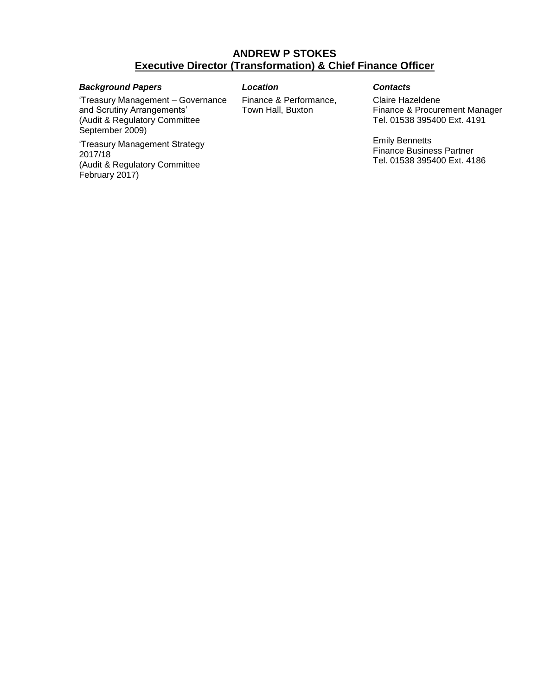### **ANDREW P STOKES Executive Director (Transformation) & Chief Finance Officer**

### *Background Papers Location Contacts*

'Treasury Management – Governance and Scrutiny Arrangements' (Audit & Regulatory Committee September 2009)

'Treasury Management Strategy 2017/18 (Audit & Regulatory Committee February 2017)

Finance & Performance, Town Hall, Buxton

Claire Hazeldene Finance & Procurement Manager Tel. 01538 395400 Ext. 4191

Emily Bennetts Finance Business Partner Tel. 01538 395400 Ext. 4186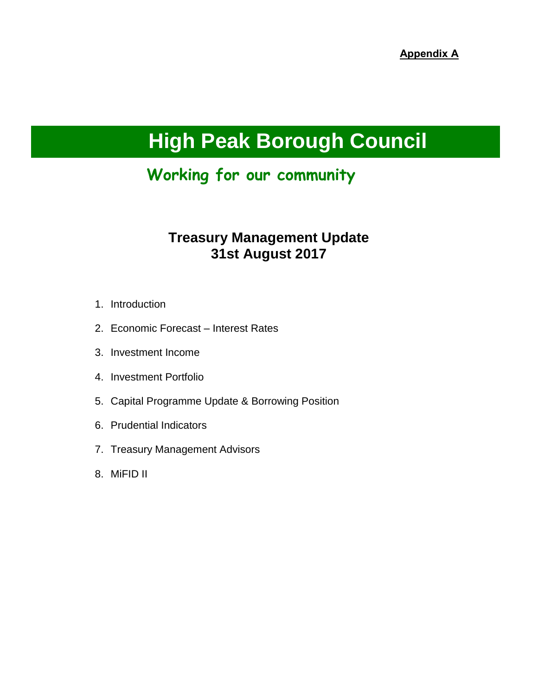# **High Peak Borough Council**

## **Working for our community**

## **Treasury Management Update 31st August 2017**

- 1. Introduction
- 2. Economic Forecast Interest Rates
- 3. Investment Income
- 4. Investment Portfolio
- 5. Capital Programme Update & Borrowing Position
- 6. Prudential Indicators
- 7. Treasury Management Advisors
- 8. MiFID II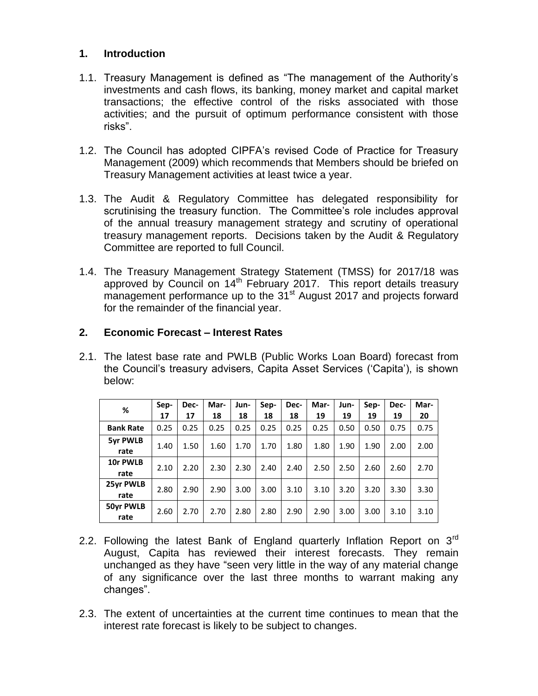### **1. Introduction**

- 1.1. Treasury Management is defined as "The management of the Authority's investments and cash flows, its banking, money market and capital market transactions; the effective control of the risks associated with those activities; and the pursuit of optimum performance consistent with those risks".
- 1.2. The Council has adopted CIPFA's revised Code of Practice for Treasury Management (2009) which recommends that Members should be briefed on Treasury Management activities at least twice a year.
- 1.3. The Audit & Regulatory Committee has delegated responsibility for scrutinising the treasury function. The Committee's role includes approval of the annual treasury management strategy and scrutiny of operational treasury management reports. Decisions taken by the Audit & Regulatory Committee are reported to full Council.
- 1.4. The Treasury Management Strategy Statement (TMSS) for 2017/18 was approved by Council on 14<sup>th</sup> February 2017. This report details treasury management performance up to the 31<sup>st</sup> August 2017 and projects forward for the remainder of the financial year.

### **2. Economic Forecast – Interest Rates**

2.1. The latest base rate and PWLB (Public Works Loan Board) forecast from the Council's treasury advisers, Capita Asset Services ('Capita'), is shown below:

| %                | Sep-<br>17 | Dec-<br>17 | Mar-<br>18 | Jun-<br>18 | Sep-<br>18 | Dec-<br>18 | Mar-<br>19 | Jun-<br>19 | Sep-<br>19 | Dec-<br>19 | Mar-<br>20 |
|------------------|------------|------------|------------|------------|------------|------------|------------|------------|------------|------------|------------|
|                  |            |            |            |            |            |            |            |            |            |            |            |
| <b>Bank Rate</b> | 0.25       | 0.25       | 0.25       | 0.25       | 0.25       | 0.25       | 0.25       | 0.50       | 0.50       | 0.75       | 0.75       |
| 5yr PWLB         |            |            |            |            |            |            |            |            |            |            |            |
| rate             | 1.40       | 1.50       | 1.60       | 1.70       | 1.70       | 1.80       | 1.80       | 1.90       | 1.90       | 2.00       | 2.00       |
| 10r PWLB         |            |            |            |            |            |            |            |            |            |            |            |
| rate             | 2.10       | 2.20       | 2.30       | 2.30       | 2.40       | 2.40       | 2.50       | 2.50       | 2.60       | 2.60       | 2.70       |
| 25yr PWLB        |            |            |            |            |            |            |            |            |            |            |            |
| rate             | 2.80       | 2.90       | 2.90       | 3.00       | 3.00       | 3.10       | 3.10       | 3.20       | 3.20       | 3.30       | 3.30       |
| <b>50yr PWLB</b> |            |            |            |            |            |            |            |            |            |            |            |
| rate             | 2.60       | 2.70       | 2.70       | 2.80       | 2.80       | 2.90       | 2.90       | 3.00       | 3.00       | 3.10       | 3.10       |

- 2.2. Following the latest Bank of England quarterly Inflation Report on  $3<sup>rd</sup>$ August, Capita has reviewed their interest forecasts. They remain unchanged as they have "seen very little in the way of any material change of any significance over the last three months to warrant making any changes".
- 2.3. The extent of uncertainties at the current time continues to mean that the interest rate forecast is likely to be subject to changes.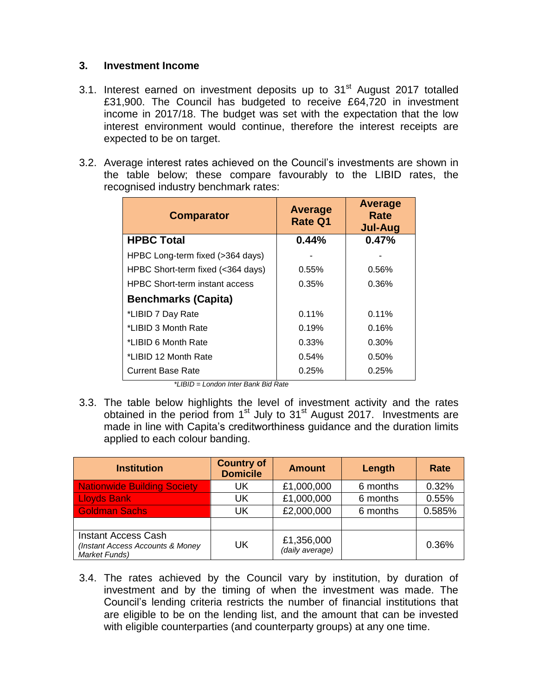### **3. Investment Income**

- 3.1. Interest earned on investment deposits up to 31<sup>st</sup> August 2017 totalled £31,900. The Council has budgeted to receive £64,720 in investment income in 2017/18. The budget was set with the expectation that the low interest environment would continue, therefore the interest receipts are expected to be on target.
- 3.2. Average interest rates achieved on the Council's investments are shown in the table below; these compare favourably to the LIBID rates, the recognised industry benchmark rates:

| <b>Comparator</b>                     | Average<br><b>Rate Q1</b> | Average<br>Rate<br><b>Jul-Aug</b> |
|---------------------------------------|---------------------------|-----------------------------------|
| <b>HPBC Total</b>                     | 0.44%                     | 0.47%                             |
| HPBC Long-term fixed (>364 days)      |                           |                                   |
| HPBC Short-term fixed (<364 days)     | $0.55\%$                  | 0.56%                             |
| <b>HPBC Short-term instant access</b> | 0.35%                     | 0.36%                             |
| <b>Benchmarks (Capita)</b>            |                           |                                   |
| *LIBID 7 Day Rate                     | 0.11%                     | 0.11%                             |
| *LIBID 3 Month Rate                   | 0.19%                     | 0.16%                             |
| *LIBID 6 Month Rate                   | 0.33%                     | $0.30\%$                          |
| *LIBID 12 Month Rate                  | 0.54%                     | 0.50%                             |
| Current Base Rate                     | 0.25%                     | 0.25%                             |

*\*LIBID = London Inter Bank Bid Rate*

3.3. The table below highlights the level of investment activity and the rates obtained in the period from 1<sup>st</sup> July to 31<sup>st</sup> August 2017. Investments are made in line with Capita's creditworthiness guidance and the duration limits applied to each colour banding.

| <b>Institution</b>                                                              | <b>Country of</b><br><b>Domicile</b> | <b>Amount</b>                 | Length   | Rate   |
|---------------------------------------------------------------------------------|--------------------------------------|-------------------------------|----------|--------|
| <b>Nationwide Building Society</b>                                              | UK                                   | £1,000,000                    | 6 months | 0.32%  |
| <b>Lloyds Bank</b>                                                              | UK                                   | £1,000,000                    | 6 months | 0.55%  |
| <b>Goldman Sachs</b>                                                            | UK                                   | £2,000,000                    | 6 months | 0.585% |
|                                                                                 |                                      |                               |          |        |
| <b>Instant Access Cash</b><br>(Instant Access Accounts & Money<br>Market Funds) | UK                                   | £1,356,000<br>(daily average) |          | 0.36%  |

3.4. The rates achieved by the Council vary by institution, by duration of investment and by the timing of when the investment was made. The Council's lending criteria restricts the number of financial institutions that are eligible to be on the lending list, and the amount that can be invested with eligible counterparties (and counterparty groups) at any one time.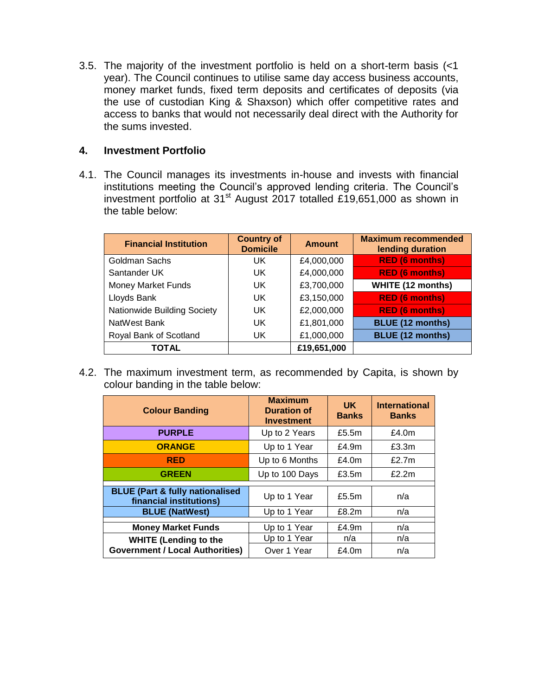3.5. The majority of the investment portfolio is held on a short-term basis (<1 year). The Council continues to utilise same day access business accounts, money market funds, fixed term deposits and certificates of deposits (via the use of custodian King & Shaxson) which offer competitive rates and access to banks that would not necessarily deal direct with the Authority for the sums invested.

### **4. Investment Portfolio**

4.1. The Council manages its investments in-house and invests with financial institutions meeting the Council's approved lending criteria. The Council's investment portfolio at 31<sup>st</sup> August 2017 totalled £19,651,000 as shown in the table below:

| <b>Financial Institution</b> | <b>Country of</b><br><b>Domicile</b> | <b>Amount</b> | <b>Maximum recommended</b><br>lending duration |
|------------------------------|--------------------------------------|---------------|------------------------------------------------|
| Goldman Sachs                | UK.                                  | £4,000,000    | <b>RED (6 months)</b>                          |
| Santander UK                 | UK.                                  | £4,000,000    | <b>RED (6 months)</b>                          |
| <b>Money Market Funds</b>    | UK                                   | £3,700,000    | <b>WHITE (12 months)</b>                       |
| Lloyds Bank                  | UK                                   | £3,150,000    | <b>RED (6 months)</b>                          |
| Nationwide Building Society  | UK.                                  | £2,000,000    | <b>RED (6 months)</b>                          |
| NatWest Bank                 | UK.                                  | £1,801,000    | <b>BLUE (12 months)</b>                        |
| Royal Bank of Scotland       | UK.                                  | £1,000,000    | <b>BLUE (12 months)</b>                        |
| TOTAL                        |                                      | £19,651,000   |                                                |

4.2. The maximum investment term, as recommended by Capita, is shown by colour banding in the table below:

| <b>Colour Banding</b>                                                 | <b>Maximum</b><br><b>Duration of</b><br><b>Investment</b> | UK.<br><b>Banks</b> | <b>International</b><br><b>Banks</b> |
|-----------------------------------------------------------------------|-----------------------------------------------------------|---------------------|--------------------------------------|
| <b>PURPLE</b>                                                         | Up to 2 Years                                             | £5.5 $m$            | £4.0 $m$                             |
| <b>ORANGE</b>                                                         | Up to 1 Year                                              | £4.9m               | £3.3m                                |
| <b>RED</b>                                                            | Up to 6 Months                                            | £4.0 $m$            | £2.7 $m$                             |
| <b>GREEN</b>                                                          | Up to 100 Days                                            | £3.5m               | £2.2m                                |
| <b>BLUE (Part &amp; fully nationalised</b><br>financial institutions) | Up to 1 Year                                              | £5.5 $m$            | n/a                                  |
| <b>BLUE (NatWest)</b>                                                 | Up to 1 Year                                              | £8.2m               | n/a                                  |
| <b>Money Market Funds</b>                                             | Up to 1 Year                                              | £4.9m               | n/a                                  |
| <b>WHITE (Lending to the</b>                                          | Up to 1 Year                                              | n/a                 | n/a                                  |
| <b>Government / Local Authorities)</b>                                | Over 1 Year                                               | £4.0m               | n/a                                  |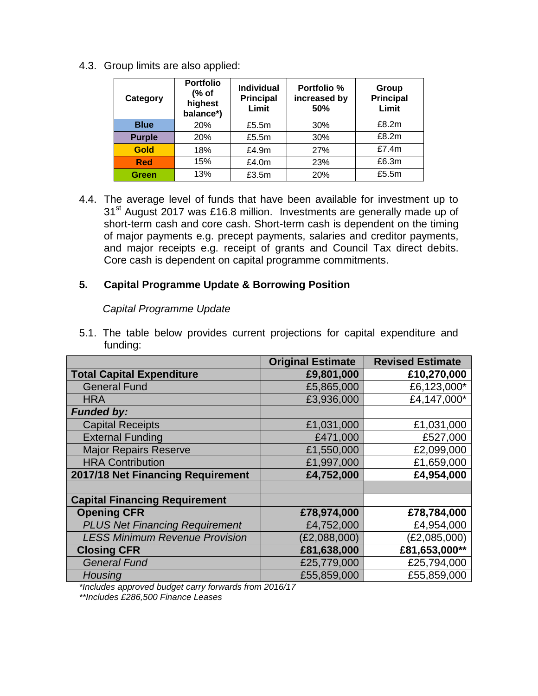4.3. Group limits are also applied:

| Category      | <b>Portfolio</b><br>(% of<br>highest<br>balance*) | Individual<br><b>Principal</b><br>Limit | Portfolio %<br>increased by<br>50% | Group<br><b>Principal</b><br>Limit |
|---------------|---------------------------------------------------|-----------------------------------------|------------------------------------|------------------------------------|
| <b>Blue</b>   | 20%                                               | £5.5m                                   | 30%                                | £8.2m                              |
| <b>Purple</b> | 20%                                               | £5.5m                                   | 30%                                | £8.2m                              |
| <b>Gold</b>   | 18%                                               | £4.9m                                   | 27%                                | £7.4m                              |
| <b>Red</b>    | 15%                                               | £4.0m                                   | 23%                                | £6.3m                              |
| Green         | 13%                                               | £3.5m                                   | 20%                                | £5.5m                              |

4.4. The average level of funds that have been available for investment up to 31<sup>st</sup> August 2017 was £16.8 million. Investments are generally made up of short-term cash and core cash. Short-term cash is dependent on the timing of major payments e.g. precept payments, salaries and creditor payments, and major receipts e.g. receipt of grants and Council Tax direct debits. Core cash is dependent on capital programme commitments.

### **5. Capital Programme Update & Borrowing Position**

### *Capital Programme Update*

5.1. The table below provides current projections for capital expenditure and funding:

|                                       | <b>Original Estimate</b> | <b>Revised Estimate</b> |
|---------------------------------------|--------------------------|-------------------------|
| <b>Total Capital Expenditure</b>      | £9,801,000               | £10,270,000             |
| <b>General Fund</b>                   | £5,865,000               | £6,123,000*             |
| <b>HRA</b>                            | £3,936,000               | £4,147,000*             |
| <b>Funded by:</b>                     |                          |                         |
| <b>Capital Receipts</b>               | £1,031,000               | £1,031,000              |
| <b>External Funding</b>               | £471,000                 | £527,000                |
| <b>Major Repairs Reserve</b>          | £1,550,000               | £2,099,000              |
| <b>HRA Contribution</b>               | £1,997,000               | £1,659,000              |
| 2017/18 Net Financing Requirement     | £4,752,000               | £4,954,000              |
|                                       |                          |                         |
| <b>Capital Financing Requirement</b>  |                          |                         |
| <b>Opening CFR</b>                    | £78,974,000              | £78,784,000             |
| <b>PLUS Net Financing Requirement</b> | £4,752,000               | £4,954,000              |
| <b>LESS Minimum Revenue Provision</b> | (E2,088,000)             | (E2,085,000)            |
| <b>Closing CFR</b>                    | £81,638,000              | £81,653,000**           |
| <b>General Fund</b>                   | £25,779,000              | £25,794,000             |
| Housing                               | £55,859,000              | £55,859,000             |

*\*Includes approved budget carry forwards from 2016/17* 

*\*\*Includes £286,500 Finance Leases*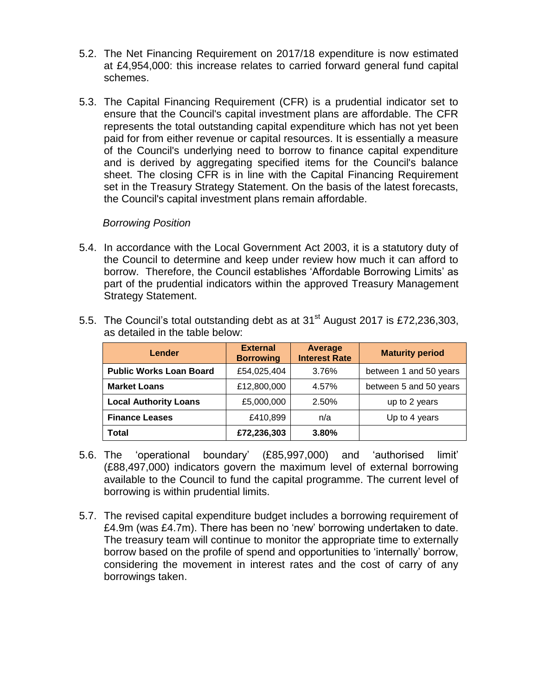- 5.2. The Net Financing Requirement on 2017/18 expenditure is now estimated at £4,954,000: this increase relates to carried forward general fund capital schemes.
- 5.3. The Capital Financing Requirement (CFR) is a prudential indicator set to ensure that the Council's capital investment plans are affordable. The CFR represents the total outstanding capital expenditure which has not yet been paid for from either revenue or capital resources. It is essentially a measure of the Council's underlying need to borrow to finance capital expenditure and is derived by aggregating specified items for the Council's balance sheet. The closing CFR is in line with the Capital Financing Requirement set in the Treasury Strategy Statement. On the basis of the latest forecasts, the Council's capital investment plans remain affordable.

### *Borrowing Position*

5.4. In accordance with the Local Government Act 2003, it is a statutory duty of the Council to determine and keep under review how much it can afford to borrow. Therefore, the Council establishes 'Affordable Borrowing Limits' as part of the prudential indicators within the approved Treasury Management Strategy Statement.

| Lender                         | <b>External</b><br><b>Borrowing</b> | Average<br><b>Interest Rate</b> | <b>Maturity period</b> |
|--------------------------------|-------------------------------------|---------------------------------|------------------------|
| <b>Public Works Loan Board</b> | £54,025,404                         | 3.76%                           | between 1 and 50 years |
| <b>Market Loans</b>            | £12,800,000                         | 4.57%                           | between 5 and 50 years |
| <b>Local Authority Loans</b>   | £5,000,000                          | 2.50%                           | up to 2 years          |
| <b>Finance Leases</b>          | £410,899                            | n/a                             | Up to 4 years          |
| Total                          | £72,236,303                         | 3.80%                           |                        |

5.5. The Council's total outstanding debt as at  $31<sup>st</sup>$  August 2017 is £72,236,303, as detailed in the table below:

- 5.6. The 'operational boundary' (£85,997,000) and 'authorised limit' (£88,497,000) indicators govern the maximum level of external borrowing available to the Council to fund the capital programme. The current level of borrowing is within prudential limits.
- 5.7. The revised capital expenditure budget includes a borrowing requirement of £4.9m (was £4.7m). There has been no 'new' borrowing undertaken to date. The treasury team will continue to monitor the appropriate time to externally borrow based on the profile of spend and opportunities to 'internally' borrow, considering the movement in interest rates and the cost of carry of any borrowings taken.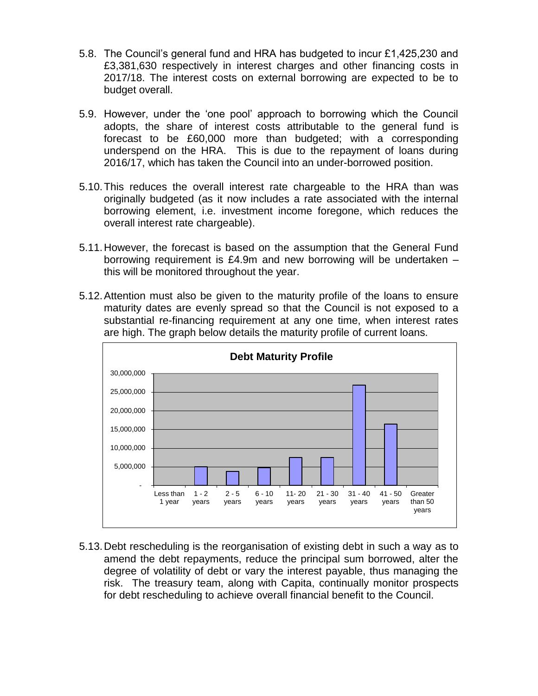- 5.8. The Council's general fund and HRA has budgeted to incur £1,425,230 and £3,381,630 respectively in interest charges and other financing costs in 2017/18. The interest costs on external borrowing are expected to be to budget overall.
- 5.9. However, under the 'one pool' approach to borrowing which the Council adopts, the share of interest costs attributable to the general fund is forecast to be £60,000 more than budgeted; with a corresponding underspend on the HRA. This is due to the repayment of loans during 2016/17, which has taken the Council into an under-borrowed position.
- 5.10.This reduces the overall interest rate chargeable to the HRA than was originally budgeted (as it now includes a rate associated with the internal borrowing element, i.e. investment income foregone, which reduces the overall interest rate chargeable).
- 5.11.However, the forecast is based on the assumption that the General Fund borrowing requirement is £4.9m and new borrowing will be undertaken – this will be monitored throughout the year.
- 5.12.Attention must also be given to the maturity profile of the loans to ensure maturity dates are evenly spread so that the Council is not exposed to a substantial re-financing requirement at any one time, when interest rates are high. The graph below details the maturity profile of current loans.



5.13.Debt rescheduling is the reorganisation of existing debt in such a way as to amend the debt repayments, reduce the principal sum borrowed, alter the degree of volatility of debt or vary the interest payable, thus managing the risk. The treasury team, along with Capita, continually monitor prospects for debt rescheduling to achieve overall financial benefit to the Council.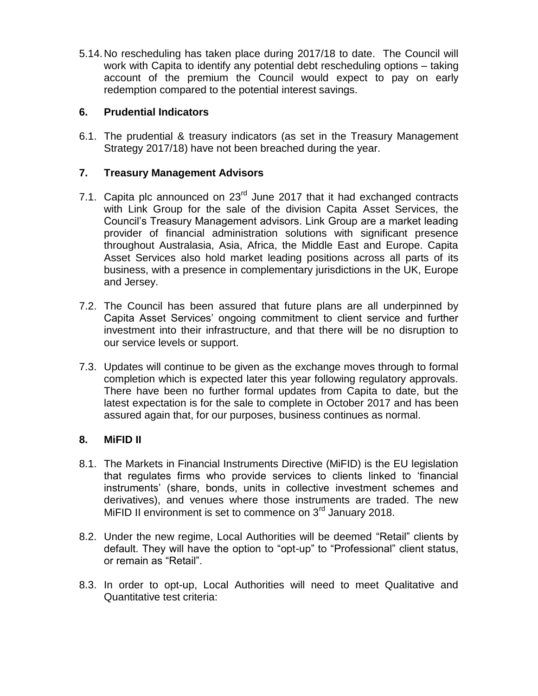5.14.No rescheduling has taken place during 2017/18 to date. The Council will work with Capita to identify any potential debt rescheduling options – taking account of the premium the Council would expect to pay on early redemption compared to the potential interest savings.

### **6. Prudential Indicators**

6.1. The prudential & treasury indicators (as set in the Treasury Management Strategy 2017/18) have not been breached during the year.

### **7. Treasury Management Advisors**

- 7.1. Capita plc announced on  $23<sup>rd</sup>$  June 2017 that it had exchanged contracts with Link Group for the sale of the division Capita Asset Services, the Council's Treasury Management advisors. Link Group are a market leading provider of financial administration solutions with significant presence throughout Australasia, Asia, Africa, the Middle East and Europe. Capita Asset Services also hold market leading positions across all parts of its business, with a presence in complementary jurisdictions in the UK, Europe and Jersey.
- 7.2. The Council has been assured that future plans are all underpinned by Capita Asset Services' ongoing commitment to client service and further investment into their infrastructure, and that there will be no disruption to our service levels or support.
- 7.3. Updates will continue to be given as the exchange moves through to formal completion which is expected later this year following regulatory approvals. There have been no further formal updates from Capita to date, but the latest expectation is for the sale to complete in October 2017 and has been assured again that, for our purposes, business continues as normal.

### **8. MiFID II**

- 8.1. The Markets in Financial Instruments Directive (MiFID) is the EU legislation that regulates firms who provide services to clients linked to 'financial instruments' (share, bonds, units in collective investment schemes and derivatives), and venues where those instruments are traded. The new MiFID II environment is set to commence on 3<sup>rd</sup> January 2018.
- 8.2. Under the new regime, Local Authorities will be deemed "Retail" clients by default. They will have the option to "opt-up" to "Professional" client status, or remain as "Retail".
- 8.3. In order to opt-up, Local Authorities will need to meet Qualitative and Quantitative test criteria: